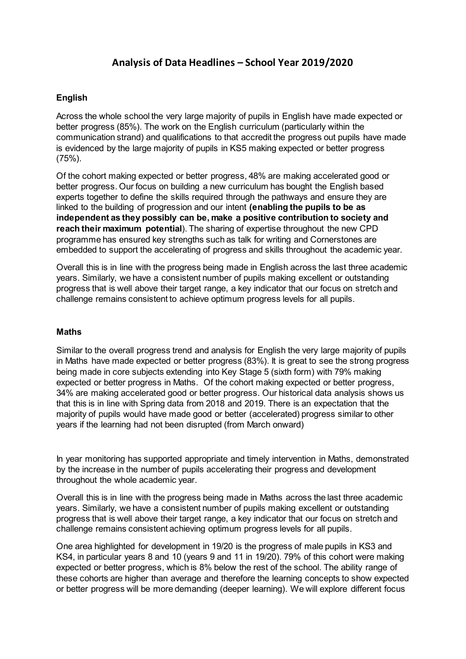# **Analysis of Data Headlines – School Year 2019/2020**

## **English**

Across the whole school the very large majority of pupils in English have made expected or better progress (85%). The work on the English curriculum (particularly within the communication strand) and qualifications to that accredit the progress out pupils have made is evidenced by the large majority of pupils in KS5 making expected or better progress (75%).

Of the cohort making expected or better progress, 48% are making accelerated good or better progress. Our focus on building a new curriculum has bought the English based experts together to define the skills required through the pathways and ensure they are linked to the building of progression and our intent **(enabling the pupils to be as independent as they possibly can be, make a positive contribution to society and reach their maximum potential**). The sharing of expertise throughout the new CPD programme has ensured key strengths such as talk for writing and Cornerstones are embedded to support the accelerating of progress and skills throughout the academic year.

Overall this is in line with the progress being made in English across the last three academic years. Similarly, we have a consistent number of pupils making excellent or outstanding progress that is well above their target range, a key indicator that our focus on stretch and challenge remains consistent to achieve optimum progress levels for all pupils.

#### **Maths**

Similar to the overall progress trend and analysis for English the very large majority of pupils in Maths have made expected or better progress (83%). It is great to see the strong progress being made in core subjects extending into Key Stage 5 (sixth form) with 79% making expected or better progress in Maths. Of the cohort making expected or better progress, 34% are making accelerated good or better progress. Our historical data analysis shows us that this is in line with Spring data from 2018 and 2019. There is an expectation that the majority of pupils would have made good or better (accelerated) progress similar to other years if the learning had not been disrupted (from March onward)

In year monitoring has supported appropriate and timely intervention in Maths, demonstrated by the increase in the number of pupils accelerating their progress and development throughout the whole academic year.

Overall this is in line with the progress being made in Maths across the last three academic years. Similarly, we have a consistent number of pupils making excellent or outstanding progress that is well above their target range, a key indicator that our focus on stretch and challenge remains consistent achieving optimum progress levels for all pupils.

One area highlighted for development in 19/20 is the progress of male pupils in KS3 and KS4, in particular years 8 and 10 (years 9 and 11 in 19/20). 79% of this cohort were making expected or better progress, which is 8% below the rest of the school. The ability range of these cohorts are higher than average and therefore the learning concepts to show expected or better progress will be more demanding (deeper learning). We will explore different focus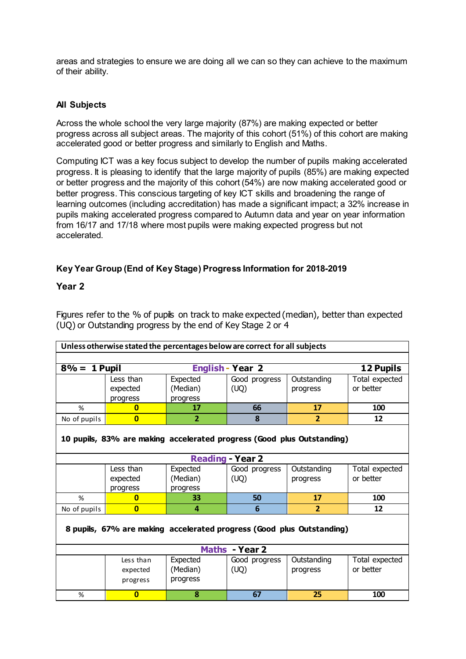areas and strategies to ensure we are doing all we can so they can achieve to the maximum of their ability.

### **All Subjects**

Across the whole school the very large majority (87%) are making expected or better progress across all subject areas. The majority of this cohort (51%) of this cohort are making accelerated good or better progress and similarly to English and Maths.

Computing ICT was a key focus subject to develop the number of pupils making accelerated progress. It is pleasing to identify that the large majority of pupils (85%) are making expected or better progress and the majority of this cohort (54%) are now making accelerated good or better progress. This conscious targeting of key ICT skills and broadening the range of learning outcomes (including accreditation) has made a significant impact; a 32% increase in pupils making accelerated progress compared to Autumn data and year on year information from 16/17 and 17/18 where most pupils were making expected progress but not accelerated.

## **Key Year Group (End of Key Stage) Progress Information for 2018-2019**

#### **Year 2**

Figures refer to the % of pupils on track to make expected (median), better than expected (UQ) or Outstanding progress by the end of Key Stage 2 or 4

|                                                                        | Unless otherwise stated the percentages below are correct for all subjects |                      |                         |                |                             |  |  |
|------------------------------------------------------------------------|----------------------------------------------------------------------------|----------------------|-------------------------|----------------|-----------------------------|--|--|
|                                                                        |                                                                            |                      |                         |                |                             |  |  |
| $8\% = 1$ Pupil                                                        |                                                                            |                      | <b>English - Year 2</b> |                | 12 Pupils                   |  |  |
|                                                                        | Less than                                                                  | Expected             | Good progress           | Outstanding    | Total expected<br>or better |  |  |
|                                                                        | expected<br>progress                                                       | (Median)<br>progress | (UQ)                    | progress       |                             |  |  |
| %                                                                      | $\mathbf{0}$                                                               | 17                   | 66                      | 17             | 100                         |  |  |
| No of pupils                                                           | $\bf{0}$                                                                   | $\mathbf{2}$         | 8                       | $\overline{2}$ | 12                          |  |  |
| 10 pupils, 83% are making accelerated progress (Good plus Outstanding) |                                                                            |                      |                         |                |                             |  |  |
|                                                                        |                                                                            |                      | <b>Reading - Year 2</b> |                |                             |  |  |
|                                                                        | Less than                                                                  | Expected             | Good progress           | Outstanding    | Total expected              |  |  |
|                                                                        | expected<br>progress                                                       | (Median)<br>progress | (UQ)                    | progress       | or better                   |  |  |
| %                                                                      | n                                                                          | 33                   | 50                      | 17             | 100                         |  |  |
| No of pupils                                                           | $\overline{0}$                                                             | 4                    | 6                       | $\overline{2}$ | 12                          |  |  |
| 8 pupils, 67% are making accelerated progress (Good plus Outstanding)  |                                                                            |                      |                         |                |                             |  |  |
|                                                                        |                                                                            |                      | Maths - Year 2          |                |                             |  |  |
|                                                                        | Less than                                                                  | Expected             | Good progress           | Outstanding    | Total expected              |  |  |
|                                                                        | expected                                                                   | (Median)             | (UQ)                    | progress       | or better                   |  |  |
|                                                                        | progress                                                                   | progress             |                         |                |                             |  |  |
| %                                                                      | $\bf{0}$                                                                   | 8                    | 67                      | 25             | 100                         |  |  |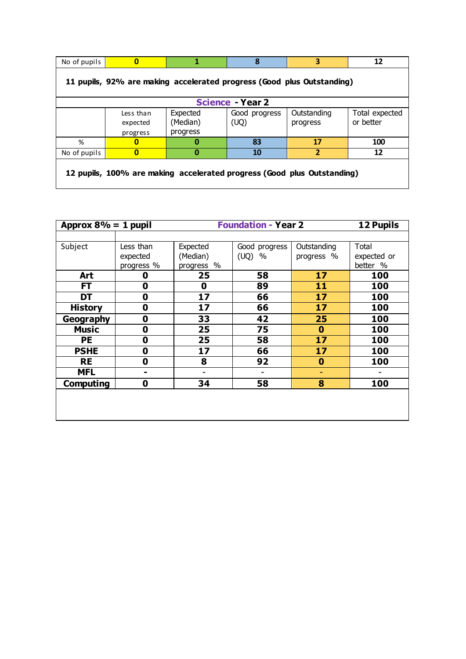| No of pupils                                                            | 0                                 | 1                                | 8                       | 3                       | 12                          |  |  |
|-------------------------------------------------------------------------|-----------------------------------|----------------------------------|-------------------------|-------------------------|-----------------------------|--|--|
| 11 pupils, 92% are making accelerated progress (Good plus Outstanding)  |                                   |                                  |                         |                         |                             |  |  |
|                                                                         |                                   |                                  | <b>Science - Year 2</b> |                         |                             |  |  |
|                                                                         | Less than<br>expected<br>progress | Expected<br>(Median)<br>progress | Good progress<br>(UQ)   | Outstanding<br>progress | Total expected<br>or better |  |  |
| %                                                                       | 0                                 | 0                                | 83                      | 17                      | 100                         |  |  |
| No of pupils                                                            | 0                                 | 0                                | 10                      | 2                       | 12                          |  |  |
| 12 pupils, 100% are making accelerated progress (Good plus Outstanding) |                                   |                                  |                         |                         |                             |  |  |

| Approx $8\% = 1$ pupil | <b>Foundation - Year 2</b> |            |               | <b>12 Pupils</b> |             |
|------------------------|----------------------------|------------|---------------|------------------|-------------|
|                        |                            |            |               |                  |             |
| Subject                | Less than                  | Expected   | Good progress | Outstanding      | Total       |
|                        | expected                   | (Median)   | (UQ)<br>%     | progress %       | expected or |
|                        | progress %                 | progress % |               |                  | better %    |
| Art                    | 0                          | 25         | 58            | 17               | 100         |
| <b>FT</b>              | 0                          | 0          | 89            | 11               | 100         |
| DT                     | 0                          | 17         | 66            | 17               | 100         |
| <b>History</b>         | 0                          | 17         | 66            | 17               | 100         |
| Geography              | 0                          | 33         | 42            | 25               | 100         |
| <b>Music</b>           | 0                          | 25         | 75            | $\bf{0}$         | 100         |
| <b>PE</b>              | 0                          | 25         | 58            | 17               | 100         |
| <b>PSHE</b>            | 0                          | 17         | 66            | 17               | 100         |
| <b>RE</b>              | 0                          | 8          | 92            | 0                | 100         |
| <b>MFL</b>             | -                          |            |               | ۰                |             |
| Computing              | 0                          | 34         | 58            | 8                | 100         |
|                        |                            |            |               |                  |             |
|                        |                            |            |               |                  |             |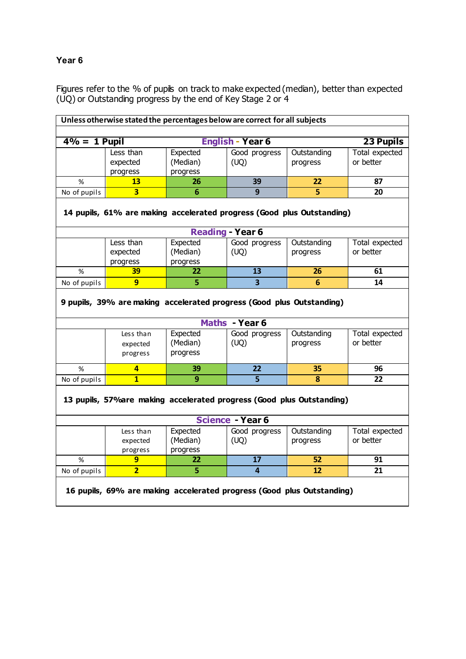# **Year 6**

Figures refer to the % of pupils on track to make expected (median), better than expected (UQ) or Outstanding progress by the end of Key Stage 2 or 4

| Unless otherwise stated the percentages below are correct for all subjects |                                                                        |                      |                         |                         |                |  |  |
|----------------------------------------------------------------------------|------------------------------------------------------------------------|----------------------|-------------------------|-------------------------|----------------|--|--|
|                                                                            |                                                                        |                      |                         |                         |                |  |  |
|                                                                            | $\frac{4\%}{4}$ = 1 Pupil<br><b>English - Year 6</b><br>23 Pupils      |                      |                         |                         |                |  |  |
|                                                                            | Less than                                                              | Expected             | Good progress           | Outstanding             | Total expected |  |  |
|                                                                            | expected                                                               | (Median)             | (UQ)                    | progress                | or better      |  |  |
|                                                                            | progress                                                               | progress             |                         |                         |                |  |  |
| %                                                                          | 13                                                                     | 26                   | 39                      | 22                      | 87             |  |  |
| No of pupils                                                               | $\overline{\mathbf{3}}$                                                | $\overline{6}$       | $\overline{9}$          | $\overline{\mathbf{5}}$ | 20             |  |  |
|                                                                            | 14 pupils, 61% are making accelerated progress (Good plus Outstanding) |                      |                         |                         |                |  |  |
|                                                                            |                                                                        |                      | <b>Reading - Year 6</b> |                         |                |  |  |
|                                                                            | Less than                                                              | Expected             | Good progress           | Outstanding             | Total expected |  |  |
|                                                                            | expected                                                               | (Median)             | (UQ)                    | progress                | or better      |  |  |
|                                                                            | progress                                                               | progress             |                         |                         |                |  |  |
| %                                                                          | 39                                                                     | 22                   | 13                      | 26                      | 61             |  |  |
| No of pupils                                                               | $\overline{9}$                                                         | 5                    | $\overline{\mathbf{3}}$ | $6\phantom{1}$          | 14             |  |  |
|                                                                            | 9 pupils, 39% are making accelerated progress (Good plus Outstanding)  |                      |                         |                         |                |  |  |
|                                                                            |                                                                        |                      | Maths - Year 6          |                         |                |  |  |
|                                                                            | Less than                                                              | Expected             | Good progress           | Outstanding             | Total expected |  |  |
|                                                                            | expected                                                               | (Median)<br>progress | (UQ)                    | progress                | or better      |  |  |
|                                                                            | progress                                                               |                      |                         |                         |                |  |  |
| %                                                                          | 4                                                                      | 39                   | 22                      | 35                      | 96             |  |  |
| No of pupils                                                               | $\overline{1}$                                                         | 9                    | 5                       | 8                       | 22             |  |  |
| 13 pupils, 57% are making accelerated progress (Good plus Outstanding)     |                                                                        |                      |                         |                         |                |  |  |
|                                                                            |                                                                        |                      | <b>Science - Year 6</b> |                         |                |  |  |
|                                                                            | Less than                                                              | Expected             | Good progress           | Outstanding             | Total expected |  |  |
|                                                                            | expected                                                               | (Median)             | (UQ)                    | progress                | or better      |  |  |
|                                                                            | progress                                                               | progress             |                         |                         |                |  |  |
| %                                                                          | 9                                                                      | 22                   | 17                      | 52                      | 91             |  |  |
| No of pupils                                                               | $\overline{2}$                                                         | 5                    | $\overline{4}$          | 12                      | 21             |  |  |
| 16 pupils, 69% are making accelerated progress (Good plus Outstanding)     |                                                                        |                      |                         |                         |                |  |  |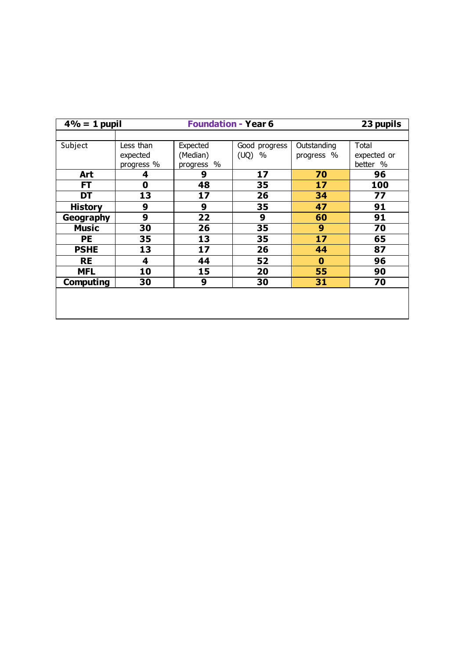| $4% = 1$ pupil   | <b>Foundation - Year 6</b><br>23 pupils |            |               |             |             |
|------------------|-----------------------------------------|------------|---------------|-------------|-------------|
|                  |                                         |            |               |             |             |
| Subject          | Less than                               | Expected   | Good progress | Outstanding | Total       |
|                  | expected                                | (Median)   | (UQ)<br>$\%$  | progress %  | expected or |
|                  | progress %                              | progress % |               |             | better %    |
| Art              | 4                                       | 9          | 17            | 70          | 96          |
| FT               | $\mathbf 0$                             | 48         | 35            | 17          | 100         |
| DT               | 13                                      | 17         | 26            | 34          | 77          |
| <b>History</b>   | 9                                       | 9          | 35            | 47          | 91          |
| <b>Geography</b> | 9                                       | 22         | 9             | 60          | 91          |
| <b>Music</b>     | 30                                      | 26         | 35            | 9           | 70          |
| РE               | 35                                      | 13         | 35            | 17          | 65          |
| <b>PSHE</b>      | 13                                      | 17         | 26            | 44          | 87          |
| <b>RE</b>        | 4                                       | 44         | 52            | $\bf{0}$    | 96          |
| <b>MFL</b>       | 10                                      | 15         | 20            | 55          | 90          |
| <b>Computing</b> | 30                                      | 9          | 30            | 31          | 70          |
|                  |                                         |            |               |             |             |
|                  |                                         |            |               |             |             |
|                  |                                         |            |               |             |             |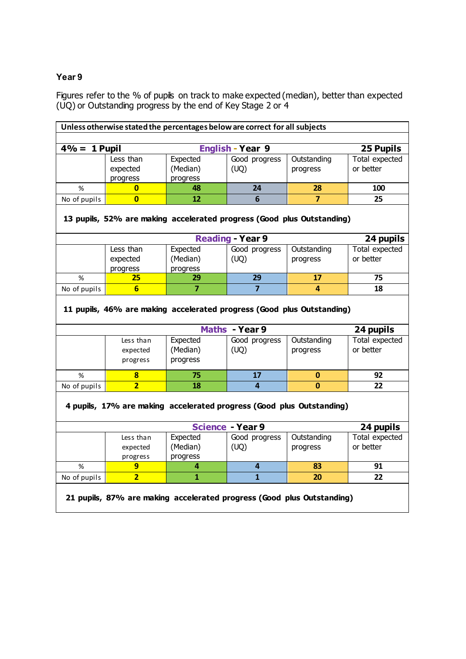## **Year 9**

Figures refer to the % of pupils on track to make expected (median), better than expected (UQ) or Outstanding progress by the end of Key Stage 2 or 4

| Unless otherwise stated the percentages below are correct for all subjects |                                                                        |                 |                         |                |                |  |  |
|----------------------------------------------------------------------------|------------------------------------------------------------------------|-----------------|-------------------------|----------------|----------------|--|--|
|                                                                            |                                                                        |                 |                         |                |                |  |  |
|                                                                            | <b>English - Year 9</b><br>$4\% = 1$ Pupil<br>25 Pupils                |                 |                         |                |                |  |  |
|                                                                            | Less than                                                              | Expected        | Good progress           | Outstanding    | Total expected |  |  |
|                                                                            | expected                                                               | (Median)        | (UQ)                    | progress       | or better      |  |  |
|                                                                            | progress                                                               | progress        |                         |                |                |  |  |
| %                                                                          | 0                                                                      | 48              | 24                      | 28             | 100            |  |  |
| No of pupils                                                               | $\overline{\mathbf{0}}$                                                | 12              | 6                       | $\overline{7}$ | 25             |  |  |
|                                                                            | 13 pupils, 52% are making accelerated progress (Good plus Outstanding) |                 |                         |                |                |  |  |
|                                                                            |                                                                        |                 | <b>Reading - Year 9</b> |                | 24 pupils      |  |  |
|                                                                            | Less than                                                              | Expected        | Good progress           | Outstanding    | Total expected |  |  |
|                                                                            | expected                                                               | (Median)        | (UQ)                    | progress       | or better      |  |  |
|                                                                            | progress                                                               | progress        |                         |                |                |  |  |
| %                                                                          | 25                                                                     | 29              | 29                      | 17             | 75             |  |  |
| No of pupils                                                               | $6 \overline{6}$                                                       | $\overline{7}$  | $\overline{7}$          | 4              | 18             |  |  |
|                                                                            | 11 pupils, 46% are making accelerated progress (Good plus Outstanding) |                 |                         |                |                |  |  |
|                                                                            |                                                                        |                 | Maths - Year 9          |                | 24 pupils      |  |  |
|                                                                            | Less than                                                              | Expected        | Good progress           | Outstanding    | Total expected |  |  |
|                                                                            | expected                                                               | (Median)        | (UQ)                    | progress       | or better      |  |  |
|                                                                            | progress                                                               | progress        |                         |                |                |  |  |
| %                                                                          | 8                                                                      | 75              | 17                      | 0              | 92             |  |  |
| No of pupils                                                               | $\overline{2}$                                                         | $\overline{18}$ | $\overline{4}$          | $\mathbf{0}$   | 22             |  |  |
| 4 pupils, 17% are making accelerated progress (Good plus Outstanding)      |                                                                        |                 |                         |                |                |  |  |
|                                                                            |                                                                        |                 | <b>Science - Year 9</b> |                | 24 pupils      |  |  |
|                                                                            | Less than                                                              | Expected        | Good progress           | Outstanding    | Total expected |  |  |
|                                                                            | expected                                                               | (Median)        | (UQ)                    | progress       | or better      |  |  |
|                                                                            | progress                                                               | progress        |                         |                |                |  |  |
| %                                                                          | $\overline{9}$                                                         | 4               | $\overline{4}$          | 83             | 91             |  |  |
| No of pupils                                                               | $\overline{2}$                                                         | $\mathbf{1}$    | $\overline{1}$          | 20             | 22             |  |  |
| 21 pupils, 87% are making accelerated progress (Good plus Outstanding)     |                                                                        |                 |                         |                |                |  |  |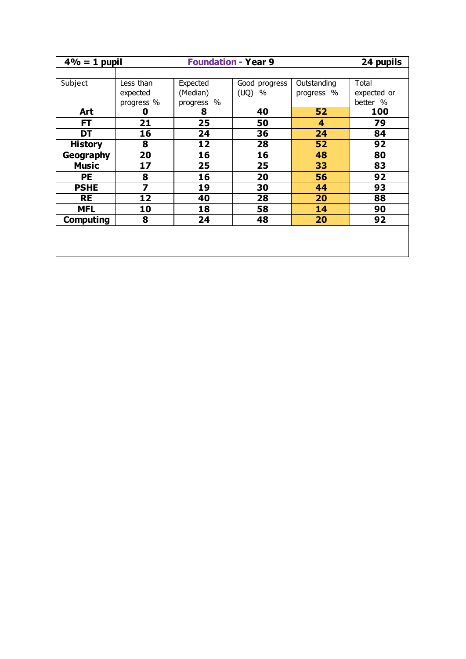| $4\% = 1$ pupil  | <b>Foundation - Year 9</b><br>24 pupils |            |               |             |             |  |
|------------------|-----------------------------------------|------------|---------------|-------------|-------------|--|
|                  |                                         |            |               |             |             |  |
| Subject          | Less than                               | Expected   | Good progress | Outstanding | Total       |  |
|                  | expected                                | (Median)   | (UQ)<br>$\%$  | progress %  | expected or |  |
|                  | progress %                              | progress % |               |             | better %    |  |
| Art              | 0                                       | 8          | 40            | 52          | 100         |  |
| FT               | 21                                      | 25         | 50            | 4           | 79          |  |
| DT               | 16                                      | 24         | 36            | 24          | 84          |  |
| <b>History</b>   | 8                                       | 12         | 28            | 52          | 92          |  |
| <b>Geography</b> | 20                                      | 16         | 16            | 48          | 80          |  |
| <b>Music</b>     | 17                                      | 25         | 25            | 33          | 83          |  |
| <b>PE</b>        | 8                                       | 16         | 20            | 56          | 92          |  |
| <b>PSHE</b>      | 7                                       | 19         | 30            | 44          | 93          |  |
| <b>RE</b>        | 12                                      | 40         | 28            | 20          | 88          |  |
| <b>MFL</b>       | 10                                      | 18         | 58            | 14          | 90          |  |
| <b>Computing</b> | 8                                       | 24         | 48            | 20          | 92          |  |
|                  |                                         |            |               |             |             |  |
|                  |                                         |            |               |             |             |  |
|                  |                                         |            |               |             |             |  |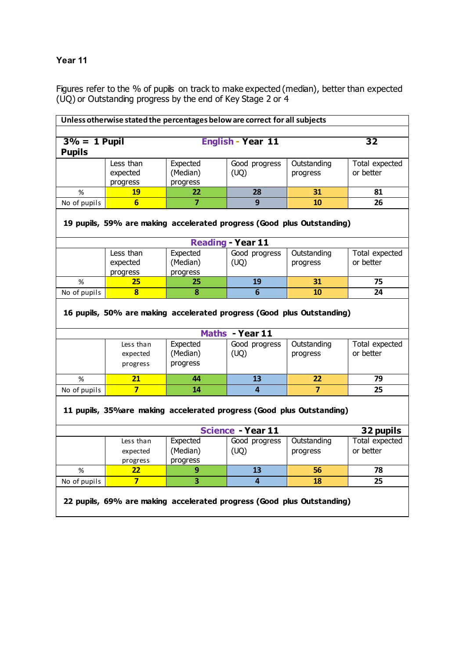# **Year 11**

Figures refer to the % of pupils on track to make expected (median), better than expected (UQ) or Outstanding progress by the end of Key Stage 2 or 4

| Unless otherwise stated the percentages below are correct for all subjects |                                                                        |                         |                          |                |                 |  |  |
|----------------------------------------------------------------------------|------------------------------------------------------------------------|-------------------------|--------------------------|----------------|-----------------|--|--|
|                                                                            |                                                                        |                         |                          |                |                 |  |  |
| $3% = 1$ Pupil                                                             |                                                                        |                         | <b>English - Year 11</b> |                | $\overline{32}$ |  |  |
| <b>Pupils</b>                                                              |                                                                        |                         |                          |                |                 |  |  |
|                                                                            | Less than                                                              | Expected                | Good progress            | Outstanding    | Total expected  |  |  |
|                                                                            | expected                                                               | (Median)                | (UQ)                     | progress       | or better       |  |  |
|                                                                            | progress                                                               | progress                |                          |                |                 |  |  |
| %                                                                          | 19                                                                     | 22                      | 28                       | 31             | 81              |  |  |
| No of pupils                                                               | $6\overline{}$                                                         | $\overline{7}$          | 9                        | 10             | 26              |  |  |
|                                                                            | 19 pupils, 59% are making accelerated progress (Good plus Outstanding) |                         |                          |                |                 |  |  |
|                                                                            |                                                                        |                         | <b>Reading - Year 11</b> |                |                 |  |  |
|                                                                            | Less than                                                              | Expected                | Good progress            | Outstanding    | Total expected  |  |  |
|                                                                            | expected                                                               | (Median)                | (UQ)                     | progress       | or better       |  |  |
|                                                                            | progress                                                               | progress                |                          |                |                 |  |  |
| %                                                                          | 25                                                                     | 25                      | 19                       | 31             | 75              |  |  |
| No of pupils                                                               | $\overline{\mathbf{8}}$                                                | $\overline{\mathbf{8}}$ | $\overline{6}$           | 10             | 24              |  |  |
|                                                                            | 16 pupils, 50% are making accelerated progress (Good plus Outstanding) |                         |                          |                |                 |  |  |
|                                                                            |                                                                        |                         | Maths - Year 11          |                |                 |  |  |
|                                                                            | Less than                                                              | Expected                | Good progress            | Outstanding    | Total expected  |  |  |
|                                                                            | expected                                                               | (Median)                | (UQ)                     | progress       | or better       |  |  |
|                                                                            | progress                                                               | progress                |                          |                |                 |  |  |
| $\%$                                                                       | $\overline{21}$                                                        | 44                      | $\overline{13}$          | 22             | 79              |  |  |
| No of pupils                                                               | $\overline{7}$                                                         | 14                      | $\overline{a}$           | $\overline{7}$ | 25              |  |  |
| 11 pupils, 35% are making accelerated progress (Good plus Outstanding)     |                                                                        |                         |                          |                |                 |  |  |
|                                                                            |                                                                        |                         | <b>Science - Year 11</b> |                | 32 pupils       |  |  |
|                                                                            | Less than                                                              | Expected                | Good progress            | Outstanding    | Total expected  |  |  |
|                                                                            | expected                                                               | (Median)                | (UQ)                     | progress       | or better       |  |  |
|                                                                            | progress                                                               | progress                |                          |                |                 |  |  |
| $\%$                                                                       | 22                                                                     | 9                       | 13                       | 56             | 78              |  |  |
| No of pupils                                                               | $\overline{7}$                                                         | $\overline{\mathbf{3}}$ | $\overline{4}$           | 18             | 25              |  |  |
| 22 pupils, 69% are making accelerated progress (Good plus Outstanding)     |                                                                        |                         |                          |                |                 |  |  |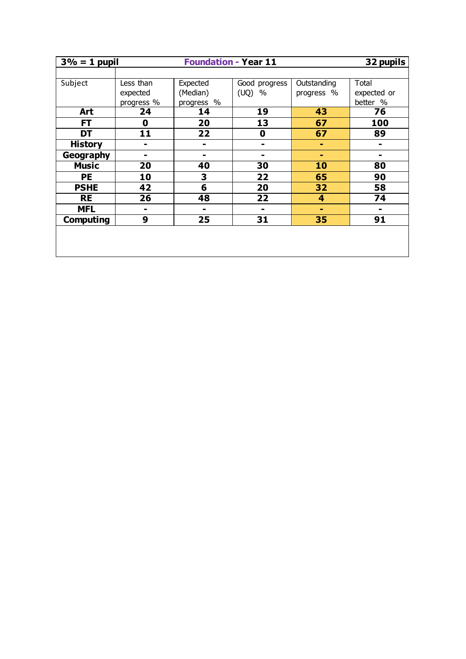|                  | <b>Foundation - Year 11</b><br>32 pupils<br>$3\% = 1$ pupil |                |                 |             |                |  |
|------------------|-------------------------------------------------------------|----------------|-----------------|-------------|----------------|--|
|                  |                                                             |                |                 |             |                |  |
| Subject          | Less than                                                   | Expected       | Good progress   | Outstanding | Total          |  |
|                  | expected                                                    | (Median)       | (UQ)<br>$\%$    | progress %  | expected or    |  |
|                  | progress %                                                  | progress %     |                 |             | better %       |  |
| Art              | 24                                                          | 14             | 19              | 43          | 76             |  |
| FT               | 0                                                           | 20             | 13              | 67          | 100            |  |
| <b>DT</b>        | 11                                                          | 22             | 0               | 67          | 89             |  |
| <b>History</b>   | $\blacksquare$                                              | $\blacksquare$ | ۰               | ۰           | ۰              |  |
| <b>Geography</b> | ۰                                                           | ۰              | -               | ۰           | -              |  |
| <b>Music</b>     | 20                                                          | 40             | 30              | 10          | 80             |  |
| <b>PE</b>        | 10                                                          | 3              | 22              | 65          | 90             |  |
| <b>PSHE</b>      | 42                                                          | 6              | 20              | 32          | 58             |  |
| <b>RE</b>        | 26                                                          | 48             | $\overline{22}$ | 4           | 74             |  |
| <b>MFL</b>       | ۰                                                           | ۰              | $\blacksquare$  | ۰           | $\blacksquare$ |  |
| <b>Computing</b> | 9                                                           | 25             | 31              | 35          | 91             |  |
|                  |                                                             |                |                 |             |                |  |
|                  |                                                             |                |                 |             |                |  |
|                  |                                                             |                |                 |             |                |  |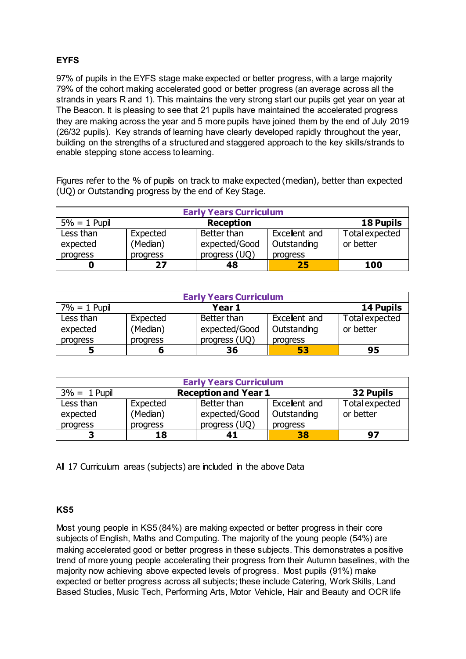# **EYFS**

97% of pupils in the EYFS stage make expected or better progress, with a large majority 79% of the cohort making accelerated good or better progress (an average across all the strands in years R and 1). This maintains the very strong start our pupils get year on year at The Beacon. It is pleasing to see that 21 pupils have maintained the accelerated progress they are making across the year and 5 more pupils have joined them by the end of July 2019 (26/32 pupils). Key strands of learning have clearly developed rapidly throughout the year, building on the strengths of a structured and staggered approach to the key skills/strands to enable stepping stone access to learning.

Figures refer to the % of pupils on track to make expected (median), better than expected (UQ) or Outstanding progress by the end of Key Stage.

| <b>Early Years Curriculum</b> |          |                  |               |                  |  |  |
|-------------------------------|----------|------------------|---------------|------------------|--|--|
| $5% = 1$ Pupil                |          | <b>Reception</b> |               | <b>18 Pupils</b> |  |  |
| Less than                     | Expected | Better than      | Excellent and | Total expected   |  |  |
| expected                      | (Median) | expected/Good    | Outstanding   | or better        |  |  |
| progress                      | progress | progress (UQ)    | progress      |                  |  |  |
|                               | 27       | 48               | 25            | 100              |  |  |

| <b>Early Years Curriculum</b> |          |               |               |                |  |  |  |
|-------------------------------|----------|---------------|---------------|----------------|--|--|--|
| $7\% = 1$ Pupil               |          | Year 1        |               | 14 Pupils      |  |  |  |
| Less than                     | Expected | Better than   | Excellent and | Total expected |  |  |  |
| expected                      | (Median) | expected/Good | Outstanding   | or better      |  |  |  |
| progress                      | progress | progress (UQ) | progress      |                |  |  |  |
|                               |          | 36            | 53            | 95             |  |  |  |

| <b>Early Years Curriculum</b> |                                          |               |               |                |  |  |  |
|-------------------------------|------------------------------------------|---------------|---------------|----------------|--|--|--|
| $3\% = 1$ Pupil               | <b>Reception and Year 1</b><br>32 Pupils |               |               |                |  |  |  |
| Less than                     | Expected                                 | Better than   | Excellent and | Total expected |  |  |  |
| expected                      | (Median)                                 | expected/Good | Outstanding   | or better      |  |  |  |
| progress                      | progress                                 | progress (UQ) | progress      |                |  |  |  |
| ∍                             | 18                                       | 41            | 38            | 97             |  |  |  |

All 17 Curriculum areas (subjects) are included in the above Data

## **KS5**

Most young people in KS5 (84%) are making expected or better progress in their core subjects of English, Maths and Computing. The majority of the young people (54%) are making accelerated good or better progress in these subjects. This demonstrates a positive trend of more young people accelerating their progress from their Autumn baselines, with the majority now achieving above expected levels of progress. Most pupils (91%) make expected or better progress across all subjects; these include Catering, Work Skills, Land Based Studies, Music Tech, Performing Arts, Motor Vehicle, Hair and Beauty and OCR life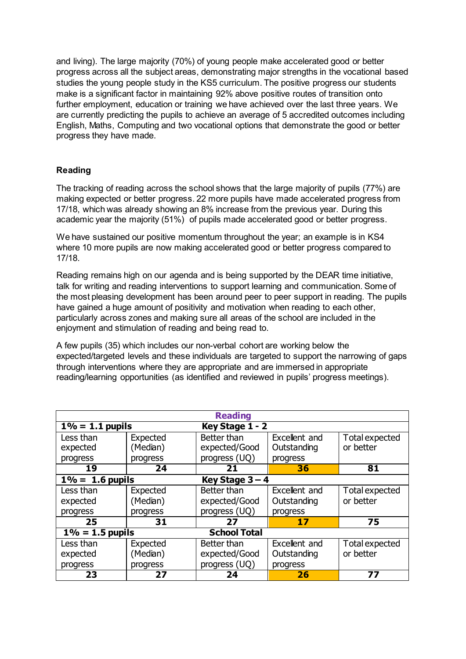and living). The large majority (70%) of young people make accelerated good or better progress across all the subject areas, demonstrating major strengths in the vocational based studies the young people study in the KS5 curriculum. The positive progress our students make is a significant factor in maintaining 92% above positive routes of transition onto further employment, education or training we have achieved over the last three years. We are currently predicting the pupils to achieve an average of 5 accredited outcomes including English, Maths, Computing and two vocational options that demonstrate the good or better progress they have made.

## **Reading**

The tracking of reading across the school shows that the large majority of pupils (77%) are making expected or better progress. 22 more pupils have made accelerated progress from 17/18, which was already showing an 8% increase from the previous year. During this academic year the majority (51%) of pupils made accelerated good or better progress.

We have sustained our positive momentum throughout the year; an example is in KS4 where 10 more pupils are now making accelerated good or better progress compared to 17/18.

Reading remains high on our agenda and is being supported by the DEAR time initiative, talk for writing and reading interventions to support learning and communication. Some of the most pleasing development has been around peer to peer support in reading. The pupils have gained a huge amount of positivity and motivation when reading to each other, particularly across zones and making sure all areas of the school are included in the enjoyment and stimulation of reading and being read to.

A few pupils (35) which includes our non-verbal cohort are working below the expected/targeted levels and these individuals are targeted to support the narrowing of gaps through interventions where they are appropriate and are immersed in appropriate reading/learning opportunities (as identified and reviewed in pupils' progress meetings).

| <b>Reading</b>                            |          |                 |               |                |  |  |  |
|-------------------------------------------|----------|-----------------|---------------|----------------|--|--|--|
| $1\% = 1.1$ pupils                        |          | Key Stage 1 - 2 |               |                |  |  |  |
| Less than                                 | Expected | Better than     | Excellent and | Total expected |  |  |  |
| expected                                  | (Median) | expected/Good   | Outstanding   | or better      |  |  |  |
| progress                                  | progress | progress (UQ)   | progress      |                |  |  |  |
| 19                                        | 24       | 21              | 36            | 81             |  |  |  |
| $1\% = 1.6$ pupils<br>Key Stage $3 - 4$   |          |                 |               |                |  |  |  |
| Less than                                 | Expected | Better than     | Excellent and | Total expected |  |  |  |
| expected                                  | (Median) | expected/Good   | Outstanding   | or better      |  |  |  |
| progress                                  | progress | progress (UQ)   | progress      |                |  |  |  |
| 25                                        | 31       | 27              | 17            | 75             |  |  |  |
| <b>School Total</b><br>$1\% = 1.5$ pupils |          |                 |               |                |  |  |  |
| Less than                                 | Expected | Better than     | Excellent and | Total expected |  |  |  |
| expected                                  | (Median) | expected/Good   | Outstanding   | or better      |  |  |  |
| progress                                  | progress | progress (UQ)   | progress      |                |  |  |  |
| 23                                        | 27       | 24              | 26            | 77             |  |  |  |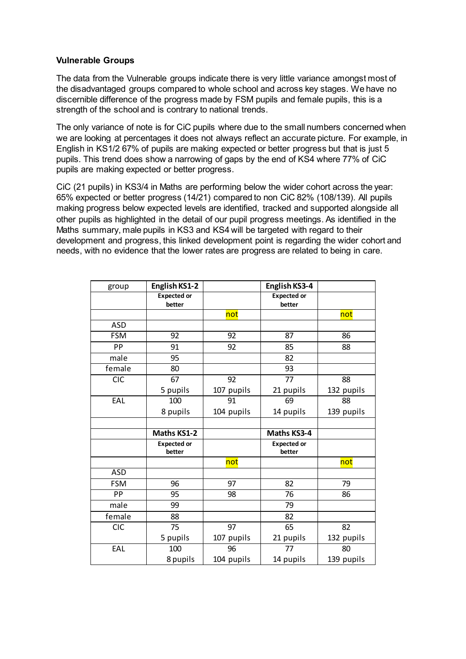### **Vulnerable Groups**

The data from the Vulnerable groups indicate there is very little variance amongst most of the disadvantaged groups compared to whole school and across key stages. We have no discernible difference of the progress made by FSM pupils and female pupils, this is a strength of the school and is contrary to national trends.

The only variance of note is for CiC pupils where due to the small numbers concerned when we are looking at percentages it does not always reflect an accurate picture. For example, in English in KS1/2 67% of pupils are making expected or better progress but that is just 5 pupils. This trend does show a narrowing of gaps by the end of KS4 where 77% of CiC pupils are making expected or better progress.

CiC (21 pupils) in KS3/4 in Maths are performing below the wider cohort across the year: 65% expected or better progress (14/21) compared to non CiC 82% (108/139). All pupils making progress below expected levels are identified, tracked and supported alongside all other pupils as highlighted in the detail of our pupil progress meetings. As identified in the Maths summary, male pupils in KS3 and KS4 will be targeted with regard to their development and progress, this linked development point is regarding the wider cohort and needs, with no evidence that the lower rates are progress are related to being in care.

| group      | English KS1-2      |            | English KS3-4      |            |
|------------|--------------------|------------|--------------------|------------|
|            | <b>Expected or</b> |            | <b>Expected or</b> |            |
|            | better             |            | better             |            |
|            |                    | not        |                    | not        |
| <b>ASD</b> |                    |            |                    |            |
| <b>FSM</b> | 92                 | 92         | 87                 | 86         |
| PP         | 91                 | 92         | 85                 | 88         |
| male       | 95                 |            | 82                 |            |
| female     | 80                 |            | 93                 |            |
| <b>CIC</b> | 67                 | 92         | 77                 | 88         |
|            | 5 pupils           | 107 pupils | 21 pupils          | 132 pupils |
| EAL        | 100                | 91         | 69                 | 88         |
|            | 8 pupils           | 104 pupils | 14 pupils          | 139 pupils |
|            |                    |            |                    |            |
|            | <b>Maths KS1-2</b> |            | Maths KS3-4        |            |
|            | <b>Expected or</b> |            | <b>Expected or</b> |            |
|            | better             |            | better             |            |
|            |                    | not        |                    | not        |
| <b>ASD</b> |                    |            |                    |            |
| <b>FSM</b> | 96                 | 97         | 82                 | 79         |
| PP         | 95                 | 98         | 76                 | 86         |
| male       | 99                 |            | 79                 |            |
| female     | 88                 |            | 82                 |            |
| <b>CIC</b> | 75                 | 97         | 65                 | 82         |
|            | 5 pupils           | 107 pupils | 21 pupils          | 132 pupils |
| EAL        | 100                | 96         | 77                 | 80         |
|            | 8 pupils           | 104 pupils | 14 pupils          | 139 pupils |